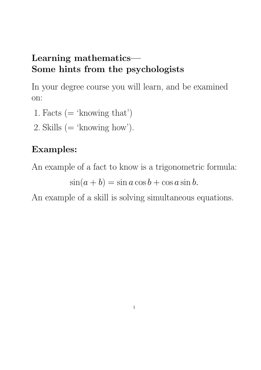#### **Learning mathematics— Some hints from the psychologists**

In your degree course you will learn, and be examined on:

- 1. Facts  $($  = 'knowing that')
- 2. Skills  $($  = 'knowing how').

### **Examples:**

An example of a fact to know is a trigonometric formula:

 $\sin(a + b) = \sin a \cos b + \cos a \sin b.$ 

An example of a skill is solving simultaneous equations.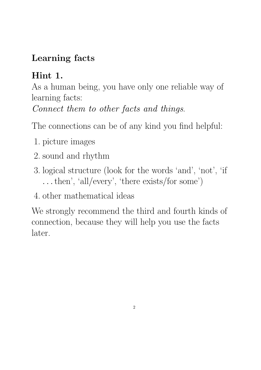### **Learning facts**

## **Hint 1.**

As a human being, you have only one reliable way of learning facts: Connect them to other facts and things.

The connections can be of any kind you find helpful:

- 1. picture images
- 2. sound and rhythm
- 3. logical structure (look for the words 'and', 'not', 'if *...*then', 'all/every', 'there exists/for some')
- 4. other mathematical ideas

We strongly recommend the third and fourth kinds of connection, because they will help you use the facts later.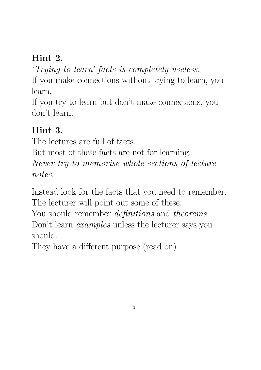### **Hint 2.**

'Trying to learn' facts is completely useless. If you make connections without trying to learn, you learn.

If you try to learn but don't make connections, you don't learn.

#### **Hint 3.**

The lectures are full of facts.

But most of these facts are not for learning. Never try to memorise whole sections of lecture notes.

Instead look for the facts that you need to remember. The lecturer will point out some of these.

You should remember *definitions* and *theorems*.

Don't learn *examples* unless the lecturer says you should.

They have a different purpose (read on).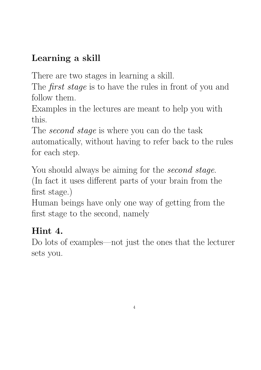## **Learning a skill**

There are two stages in learning a skill.

The *first stage* is to have the rules in front of you and follow them.

Examples in the lectures are meant to help you with this.

The *second stage* is where you can do the task automatically, without having to refer back to the rules for each step.

You should always be aiming for the second stage. (In fact it uses different parts of your brain from the first stage.)

Human beings have only one way of getting from the first stage to the second, namely

### **Hint 4.**

Do lots of examples—not just the ones that the lecturer sets you.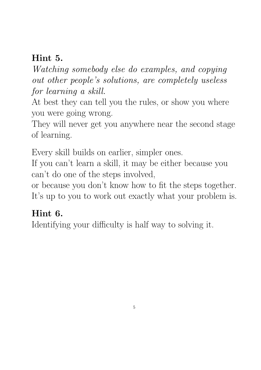#### **Hint 5.**

Watching somebody else do examples, and copying out other people's solutions, are completely useless for learning a skill.

At best they can tell you the rules, or show you where you were going wrong.

They will never get you anywhere near the second stage of learning.

Every skill builds on earlier, simpler ones.

If you can't learn a skill, it may be either because you can't do one of the steps involved,

or because you don't know how to fit the steps together. It's up to you to work out exactly what your problem is.

### **Hint 6.**

Identifying your difficulty is half way to solving it.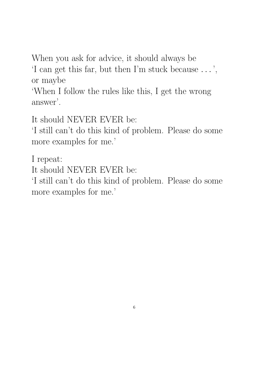When you ask for advice, it should always be

'I can get this far, but then I'm stuck because *...* ', or maybe

'When I follow the rules like this, I get the wrong answer'.

It should NEVER EVER be:

'I still can't do this kind of problem. Please do some more examples for me.'

I repeat:

It should NEVER EVER be:

'I still can't do this kind of problem. Please do some more examples for me.'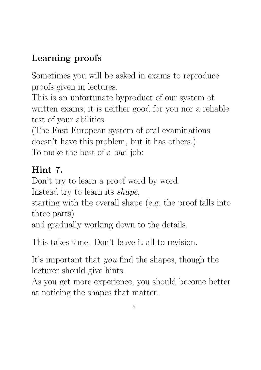# **Learning proofs**

Sometimes you will be asked in exams to reproduce proofs given in lectures.

This is an unfortunate byproduct of our system of written exams; it is neither good for you nor a reliable test of your abilities.

(The East European system of oral examinations doesn't have this problem, but it has others.) To make the best of a bad job:

# **Hint 7.**

Don't try to learn a proof word by word.

Instead try to learn its shape,

starting with the overall shape (e.g. the proof falls into three parts)

and gradually working down to the details.

This takes time. Don't leave it all to revision.

It's important that you find the shapes, though the lecturer should give hints.

As you get more experience, you should become better at noticing the shapes that matter.